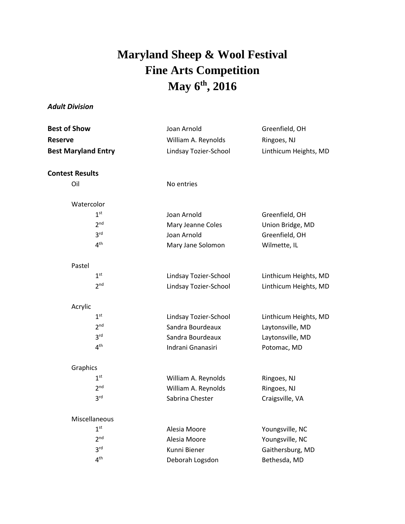## **Maryland Sheep & Wool Festival Fine Arts Competition May 6 th , 2016**

## *Adult Division*

| <b>Best of Show</b><br>Reserve<br><b>Best Maryland Entry</b> | Joan Arnold<br>William A. Reynolds<br>Lindsay Tozier-School | Greenfield, OH<br>Ringoes, NJ<br>Linthicum Heights, MD |                        |            |  |
|--------------------------------------------------------------|-------------------------------------------------------------|--------------------------------------------------------|------------------------|------------|--|
|                                                              |                                                             |                                                        | <b>Contest Results</b> |            |  |
|                                                              |                                                             |                                                        | Oil                    | No entries |  |
| Watercolor                                                   |                                                             |                                                        |                        |            |  |
| 1 <sup>st</sup>                                              | Joan Arnold                                                 | Greenfield, OH                                         |                        |            |  |
| 2 <sup>nd</sup>                                              | Mary Jeanne Coles                                           | Union Bridge, MD                                       |                        |            |  |
| 3 <sup>rd</sup>                                              | Joan Arnold                                                 | Greenfield, OH                                         |                        |            |  |
| 4 <sup>th</sup>                                              | Mary Jane Solomon                                           | Wilmette, IL                                           |                        |            |  |
| Pastel                                                       |                                                             |                                                        |                        |            |  |
| 1 <sup>st</sup>                                              | Lindsay Tozier-School                                       | Linthicum Heights, MD                                  |                        |            |  |
| 2 <sup>nd</sup>                                              | Lindsay Tozier-School                                       | Linthicum Heights, MD                                  |                        |            |  |
| Acrylic                                                      |                                                             |                                                        |                        |            |  |
| 1 <sup>st</sup>                                              | Lindsay Tozier-School                                       | Linthicum Heights, MD                                  |                        |            |  |
| 2 <sup>nd</sup>                                              | Sandra Bourdeaux                                            | Laytonsville, MD                                       |                        |            |  |
| 3 <sup>rd</sup>                                              | Sandra Bourdeaux                                            | Laytonsville, MD                                       |                        |            |  |
| 4 <sup>th</sup>                                              | Indrani Gnanasiri                                           | Potomac, MD                                            |                        |            |  |
| Graphics                                                     |                                                             |                                                        |                        |            |  |
| 1 <sup>st</sup>                                              | William A. Reynolds                                         | Ringoes, NJ                                            |                        |            |  |
| 2 <sup>nd</sup>                                              | William A. Reynolds                                         | Ringoes, NJ                                            |                        |            |  |
| 3 <sup>rd</sup>                                              | Sabrina Chester                                             | Craigsville, VA                                        |                        |            |  |
| Miscellaneous                                                |                                                             |                                                        |                        |            |  |
| 1 <sup>st</sup>                                              | Alesia Moore                                                | Youngsville, NC                                        |                        |            |  |
| 2 <sup>nd</sup>                                              | Alesia Moore                                                | Youngsville, NC                                        |                        |            |  |
| 3 <sup>rd</sup>                                              | Kunni Biener                                                | Gaithersburg, MD                                       |                        |            |  |
| 4 <sup>th</sup>                                              | Deborah Logsdon                                             | Bethesda, MD                                           |                        |            |  |